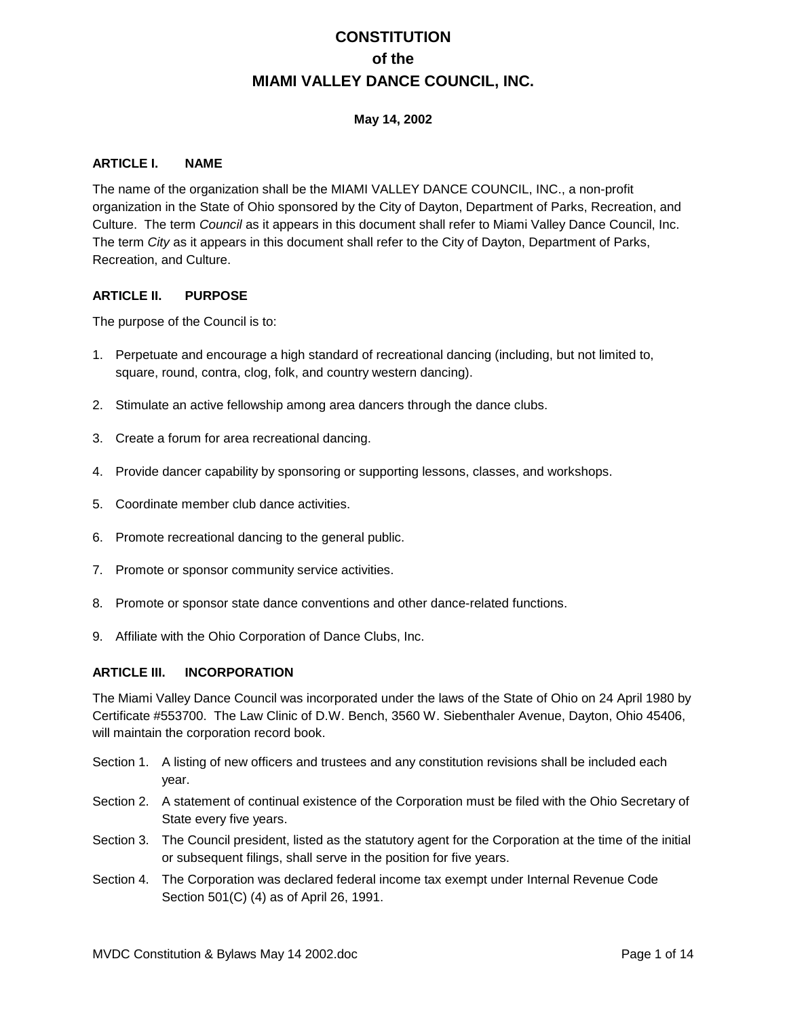## **CONSTITUTION of the MIAMI VALLEY DANCE COUNCIL, INC.**

## **May 14, 2002**

### **ARTICLE I. NAME**

The name of the organization shall be the MIAMI VALLEY DANCE COUNCIL, INC., a non-profit organization in the State of Ohio sponsored by the City of Dayton, Department of Parks, Recreation, and Culture. The term *Council* as it appears in this document shall refer to Miami Valley Dance Council, Inc. The term *City* as it appears in this document shall refer to the City of Dayton, Department of Parks, Recreation, and Culture.

### **ARTICLE II. PURPOSE**

The purpose of the Council is to:

- 1. Perpetuate and encourage a high standard of recreational dancing (including, but not limited to, square, round, contra, clog, folk, and country western dancing).
- 2. Stimulate an active fellowship among area dancers through the dance clubs.
- 3. Create a forum for area recreational dancing.
- 4. Provide dancer capability by sponsoring or supporting lessons, classes, and workshops.
- 5. Coordinate member club dance activities.
- 6. Promote recreational dancing to the general public.
- 7. Promote or sponsor community service activities.
- 8. Promote or sponsor state dance conventions and other dance-related functions.
- 9. Affiliate with the Ohio Corporation of Dance Clubs, Inc.

## **ARTICLE III. INCORPORATION**

The Miami Valley Dance Council was incorporated under the laws of the State of Ohio on 24 April 1980 by Certificate #553700. The Law Clinic of D.W. Bench, 3560 W. Siebenthaler Avenue, Dayton, Ohio 45406, will maintain the corporation record book.

- Section 1. A listing of new officers and trustees and any constitution revisions shall be included each year.
- Section 2. A statement of continual existence of the Corporation must be filed with the Ohio Secretary of State every five years.
- Section 3. The Council president, listed as the statutory agent for the Corporation at the time of the initial or subsequent filings, shall serve in the position for five years.
- Section 4. The Corporation was declared federal income tax exempt under Internal Revenue Code Section 501(C) (4) as of April 26, 1991.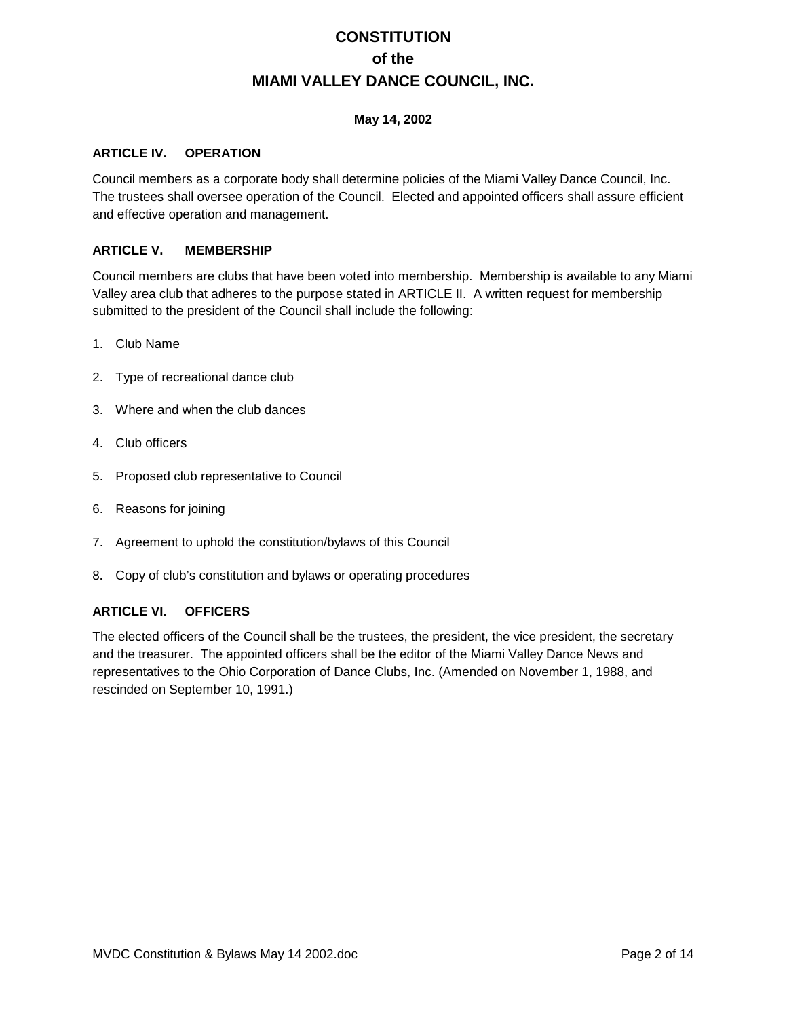## **CONSTITUTION of the MIAMI VALLEY DANCE COUNCIL, INC.**

## **May 14, 2002**

#### **ARTICLE IV. OPERATION**

Council members as a corporate body shall determine policies of the Miami Valley Dance Council, Inc. The trustees shall oversee operation of the Council. Elected and appointed officers shall assure efficient and effective operation and management.

### **ARTICLE V. MEMBERSHIP**

Council members are clubs that have been voted into membership. Membership is available to any Miami Valley area club that adheres to the purpose stated in ARTICLE II. A written request for membership submitted to the president of the Council shall include the following:

- 1. Club Name
- 2. Type of recreational dance club
- 3. Where and when the club dances
- 4. Club officers
- 5. Proposed club representative to Council
- 6. Reasons for joining
- 7. Agreement to uphold the constitution/bylaws of this Council
- 8. Copy of club's constitution and bylaws or operating procedures

## **ARTICLE VI. OFFICERS**

The elected officers of the Council shall be the trustees, the president, the vice president, the secretary and the treasurer. The appointed officers shall be the editor of the Miami Valley Dance News and representatives to the Ohio Corporation of Dance Clubs, Inc. (Amended on November 1, 1988, and rescinded on September 10, 1991.)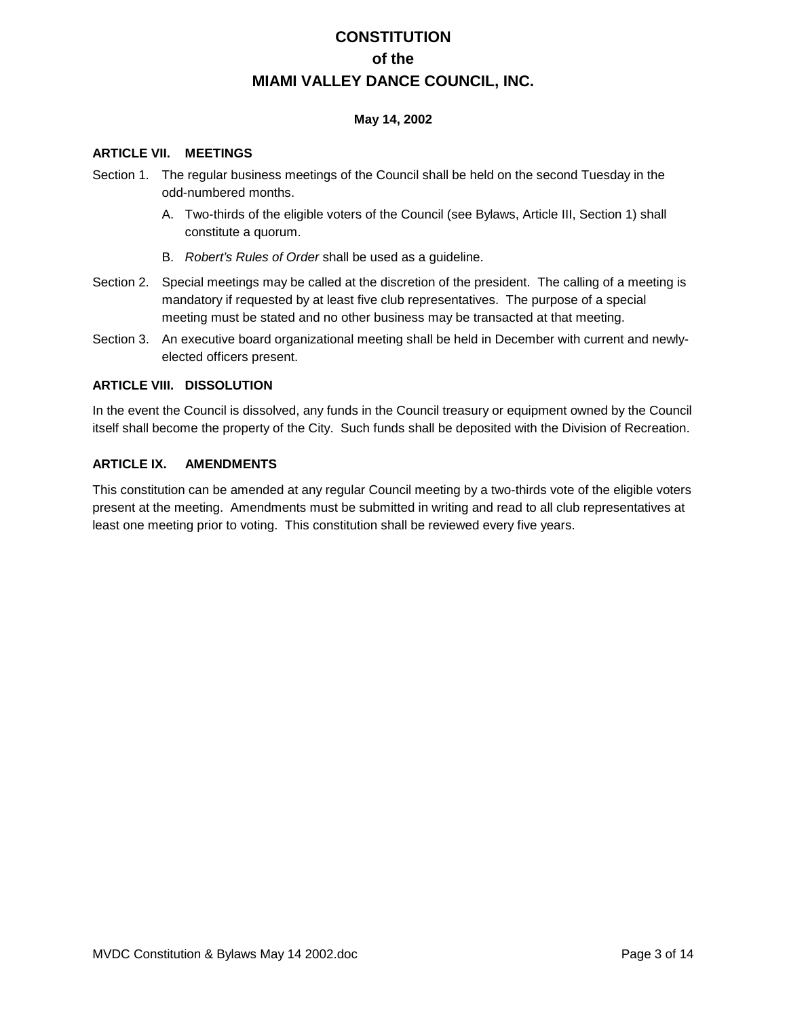## **CONSTITUTION of the MIAMI VALLEY DANCE COUNCIL, INC.**

## **May 14, 2002**

#### **ARTICLE VII. MEETINGS**

- Section 1. The regular business meetings of the Council shall be held on the second Tuesday in the odd-numbered months.
	- A. Two-thirds of the eligible voters of the Council (see Bylaws, Article III, Section 1) shall constitute a quorum.
	- B. *Robert's Rules of Order* shall be used as a guideline.
- Section 2. Special meetings may be called at the discretion of the president. The calling of a meeting is mandatory if requested by at least five club representatives. The purpose of a special meeting must be stated and no other business may be transacted at that meeting.
- Section 3. An executive board organizational meeting shall be held in December with current and newlyelected officers present.

### **ARTICLE VIII. DISSOLUTION**

In the event the Council is dissolved, any funds in the Council treasury or equipment owned by the Council itself shall become the property of the City. Such funds shall be deposited with the Division of Recreation.

### **ARTICLE IX. AMENDMENTS**

This constitution can be amended at any regular Council meeting by a two-thirds vote of the eligible voters present at the meeting. Amendments must be submitted in writing and read to all club representatives at least one meeting prior to voting. This constitution shall be reviewed every five years.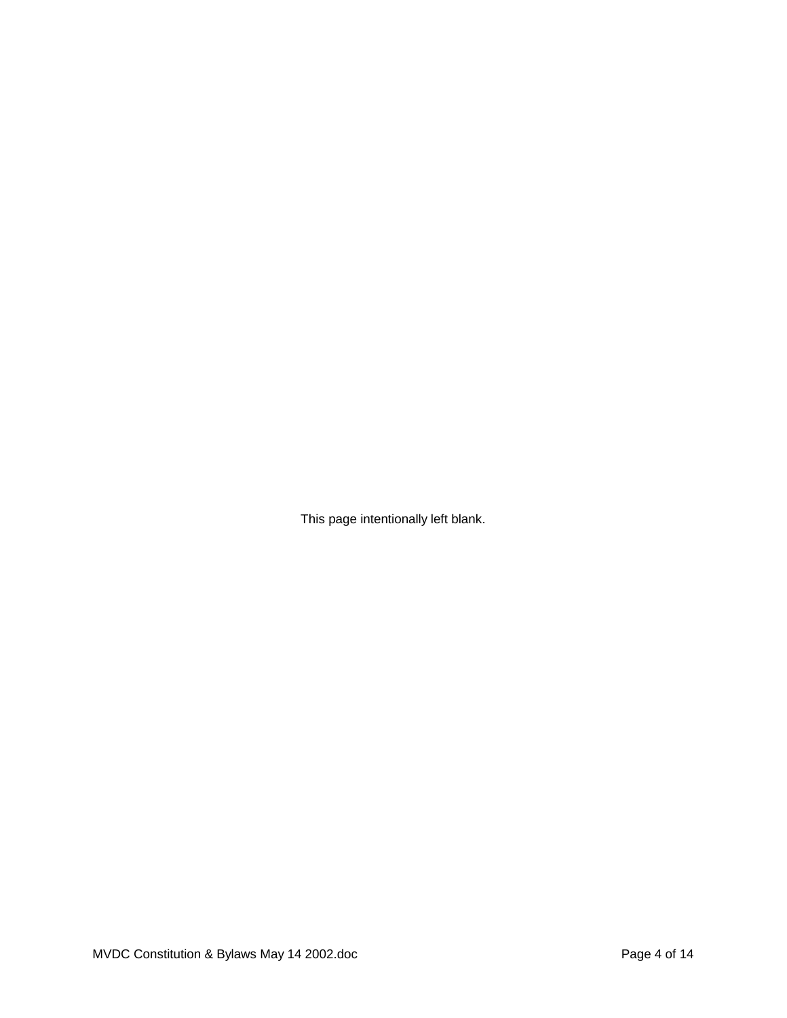This page intentionally left blank.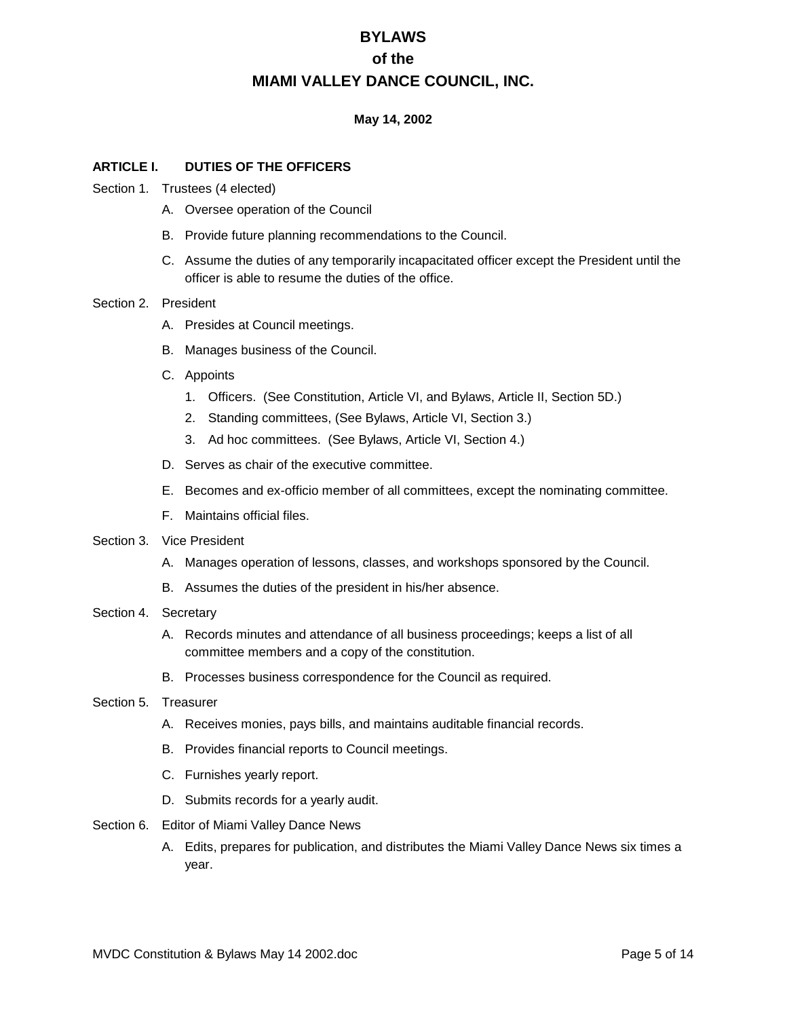## **May 14, 2002**

### **ARTICLE I. DUTIES OF THE OFFICERS**

- Section 1. Trustees (4 elected)
	- A. Oversee operation of the Council
	- B. Provide future planning recommendations to the Council.
	- C. Assume the duties of any temporarily incapacitated officer except the President until the officer is able to resume the duties of the office.

#### Section 2. President

- A. Presides at Council meetings.
- B. Manages business of the Council.
- C. Appoints
	- 1. Officers. (See Constitution, Article VI, and Bylaws, Article II, Section 5D.)
	- 2. Standing committees, (See Bylaws, Article VI, Section 3.)
	- 3. Ad hoc committees. (See Bylaws, Article VI, Section 4.)
- D. Serves as chair of the executive committee.
- E. Becomes and ex-officio member of all committees, except the nominating committee.
- F. Maintains official files.
- Section 3. Vice President
	- A. Manages operation of lessons, classes, and workshops sponsored by the Council.
	- B. Assumes the duties of the president in his/her absence.
- Section 4. Secretary
	- A. Records minutes and attendance of all business proceedings; keeps a list of all committee members and a copy of the constitution.
	- B. Processes business correspondence for the Council as required.
- Section 5. Treasurer
	- A. Receives monies, pays bills, and maintains auditable financial records.
	- B. Provides financial reports to Council meetings.
	- C. Furnishes yearly report.
	- D. Submits records for a yearly audit.
- Section 6. Editor of Miami Valley Dance News
	- A. Edits, prepares for publication, and distributes the Miami Valley Dance News six times a year.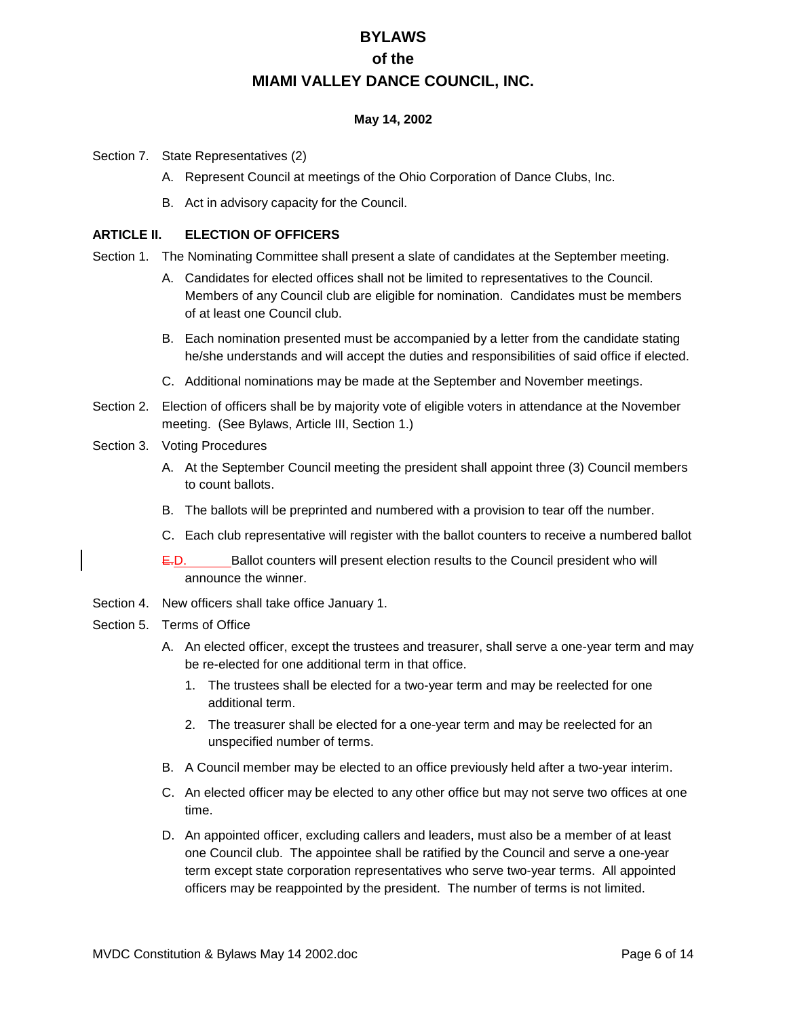### **May 14, 2002**

- Section 7. State Representatives (2)
	- A. Represent Council at meetings of the Ohio Corporation of Dance Clubs, Inc.
	- B. Act in advisory capacity for the Council.

### **ARTICLE II. ELECTION OF OFFICERS**

- Section 1. The Nominating Committee shall present a slate of candidates at the September meeting.
	- A. Candidates for elected offices shall not be limited to representatives to the Council. Members of any Council club are eligible for nomination. Candidates must be members of at least one Council club.
	- B. Each nomination presented must be accompanied by a letter from the candidate stating he/she understands and will accept the duties and responsibilities of said office if elected.
	- C. Additional nominations may be made at the September and November meetings.
- Section 2. Election of officers shall be by majority vote of eligible voters in attendance at the November meeting. (See Bylaws, Article III, Section 1.)

#### Section 3. Voting Procedures

- A. At the September Council meeting the president shall appoint three (3) Council members to count ballots.
- B. The ballots will be preprinted and numbered with a provision to tear off the number.
- C. Each club representative will register with the ballot counters to receive a numbered ballot
- E.D. Ballot counters will present election results to the Council president who will announce the winner.
- Section 4. New officers shall take office January 1.

#### Section 5. Terms of Office

- A. An elected officer, except the trustees and treasurer, shall serve a one-year term and may be re-elected for one additional term in that office.
	- 1. The trustees shall be elected for a two-year term and may be reelected for one additional term.
	- 2. The treasurer shall be elected for a one-year term and may be reelected for an unspecified number of terms.
- B. A Council member may be elected to an office previously held after a two-year interim.
- C. An elected officer may be elected to any other office but may not serve two offices at one time.
- D. An appointed officer, excluding callers and leaders, must also be a member of at least one Council club. The appointee shall be ratified by the Council and serve a one-year term except state corporation representatives who serve two-year terms. All appointed officers may be reappointed by the president. The number of terms is not limited.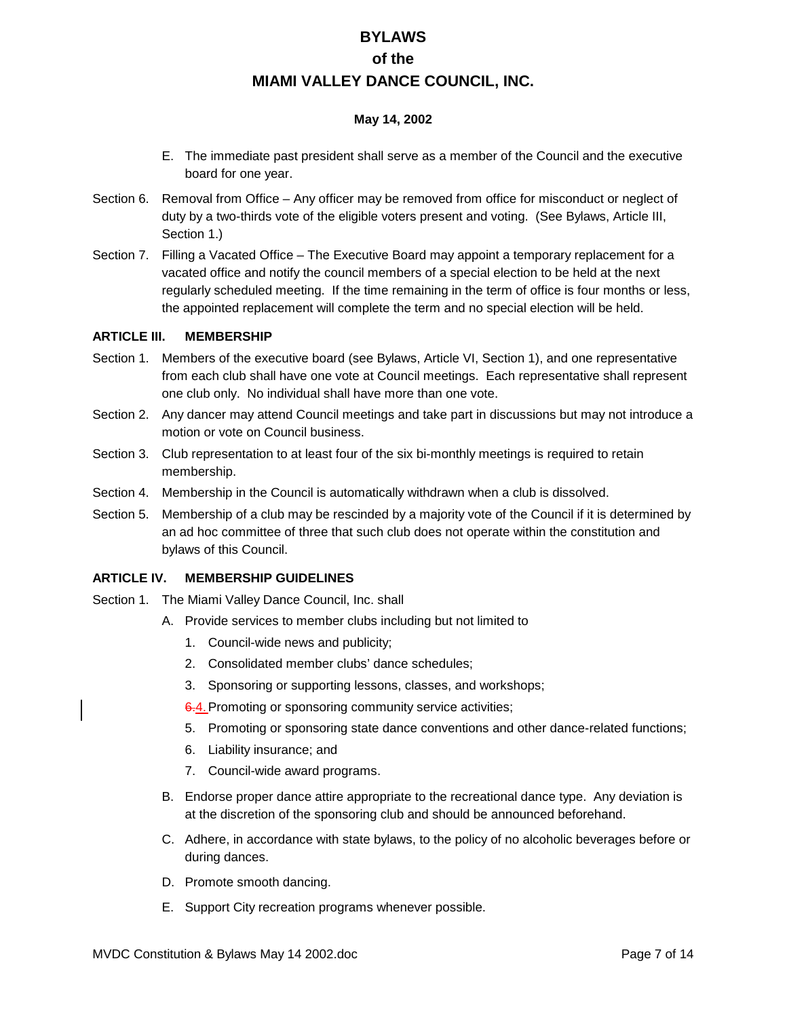### **May 14, 2002**

- E. The immediate past president shall serve as a member of the Council and the executive board for one year.
- Section 6. Removal from Office Any officer may be removed from office for misconduct or neglect of duty by a two-thirds vote of the eligible voters present and voting. (See Bylaws, Article III, Section 1.)
- Section 7. Filling a Vacated Office The Executive Board may appoint a temporary replacement for a vacated office and notify the council members of a special election to be held at the next regularly scheduled meeting. If the time remaining in the term of office is four months or less, the appointed replacement will complete the term and no special election will be held.

### **ARTICLE III. MEMBERSHIP**

- Section 1. Members of the executive board (see Bylaws, Article VI, Section 1), and one representative from each club shall have one vote at Council meetings. Each representative shall represent one club only. No individual shall have more than one vote.
- Section 2. Any dancer may attend Council meetings and take part in discussions but may not introduce a motion or vote on Council business.
- Section 3. Club representation to at least four of the six bi-monthly meetings is required to retain membership.
- Section 4. Membership in the Council is automatically withdrawn when a club is dissolved.
- Section 5. Membership of a club may be rescinded by a majority vote of the Council if it is determined by an ad hoc committee of three that such club does not operate within the constitution and bylaws of this Council.

## **ARTICLE IV. MEMBERSHIP GUIDELINES**

- Section 1. The Miami Valley Dance Council, Inc. shall
	- A. Provide services to member clubs including but not limited to
		- 1. Council-wide news and publicity;
		- 2. Consolidated member clubs' dance schedules;
		- 3. Sponsoring or supporting lessons, classes, and workshops;
		- 6.4. Promoting or sponsoring community service activities;
		- 5. Promoting or sponsoring state dance conventions and other dance-related functions;
		- 6. Liability insurance; and
		- 7. Council-wide award programs.
	- B. Endorse proper dance attire appropriate to the recreational dance type. Any deviation is at the discretion of the sponsoring club and should be announced beforehand.
	- C. Adhere, in accordance with state bylaws, to the policy of no alcoholic beverages before or during dances.
	- D. Promote smooth dancing.
	- E. Support City recreation programs whenever possible.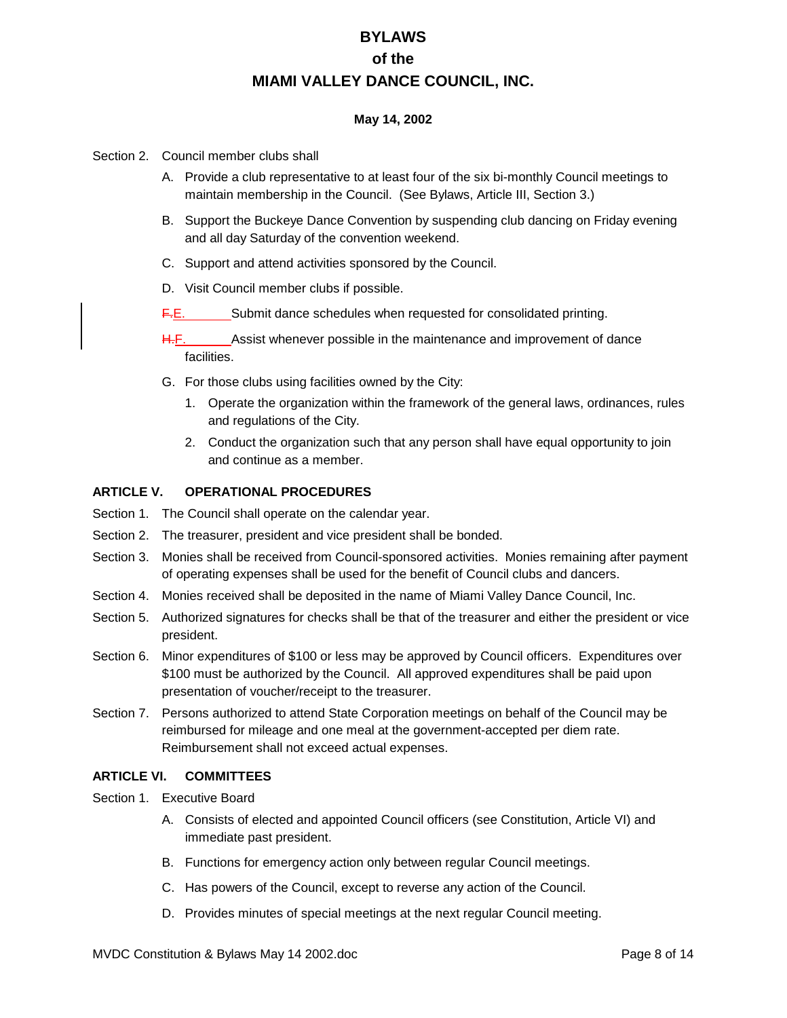### **May 14, 2002**

#### Section 2. Council member clubs shall

- A. Provide a club representative to at least four of the six bi-monthly Council meetings to maintain membership in the Council. (See Bylaws, Article III, Section 3.)
- B. Support the Buckeye Dance Convention by suspending club dancing on Friday evening and all day Saturday of the convention weekend.
- C. Support and attend activities sponsored by the Council.
- D. Visit Council member clubs if possible.
- F.E. Submit dance schedules when requested for consolidated printing.
- H.F. Assist whenever possible in the maintenance and improvement of dance facilities.
- G. For those clubs using facilities owned by the City:
	- 1. Operate the organization within the framework of the general laws, ordinances, rules and regulations of the City.
	- 2. Conduct the organization such that any person shall have equal opportunity to join and continue as a member.

### **ARTICLE V. OPERATIONAL PROCEDURES**

- Section 1. The Council shall operate on the calendar year.
- Section 2. The treasurer, president and vice president shall be bonded.
- Section 3. Monies shall be received from Council-sponsored activities. Monies remaining after payment of operating expenses shall be used for the benefit of Council clubs and dancers.
- Section 4. Monies received shall be deposited in the name of Miami Valley Dance Council, Inc.
- Section 5. Authorized signatures for checks shall be that of the treasurer and either the president or vice president.
- Section 6. Minor expenditures of \$100 or less may be approved by Council officers. Expenditures over \$100 must be authorized by the Council. All approved expenditures shall be paid upon presentation of voucher/receipt to the treasurer.
- Section 7. Persons authorized to attend State Corporation meetings on behalf of the Council may be reimbursed for mileage and one meal at the government-accepted per diem rate. Reimbursement shall not exceed actual expenses.

#### **ARTICLE VI. COMMITTEES**

- Section 1. Executive Board
	- A. Consists of elected and appointed Council officers (see Constitution, Article VI) and immediate past president.
	- B. Functions for emergency action only between regular Council meetings.
	- C. Has powers of the Council, except to reverse any action of the Council.
	- D. Provides minutes of special meetings at the next regular Council meeting.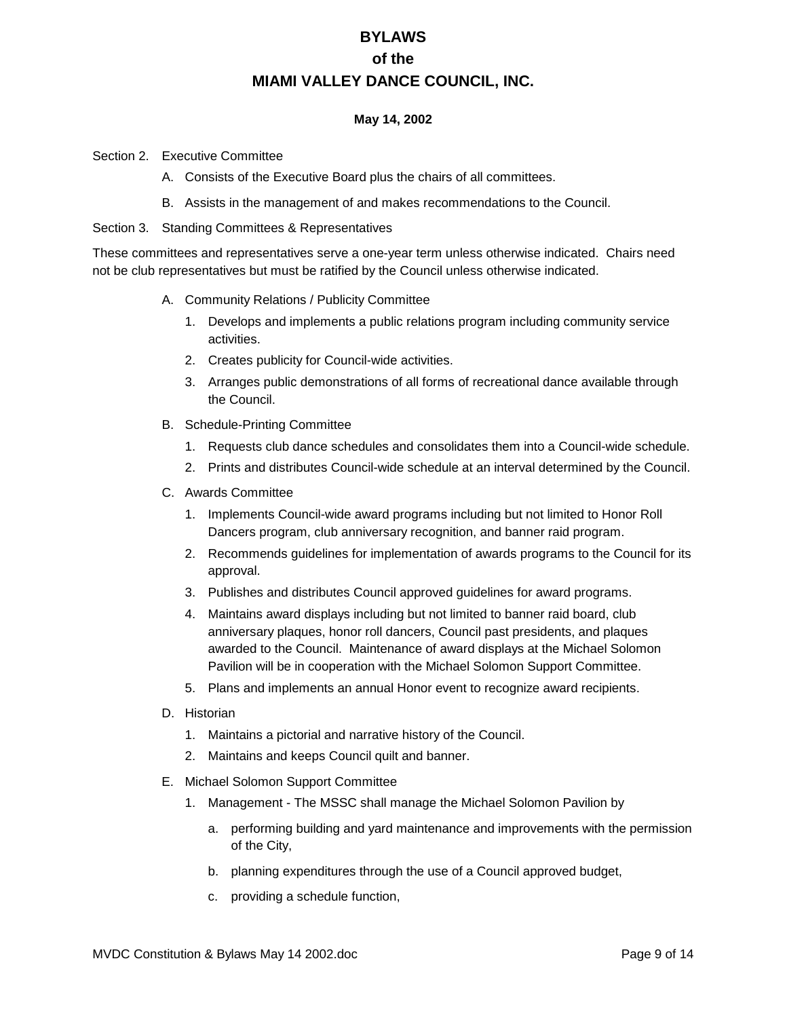### **May 14, 2002**

- Section 2. Executive Committee
	- A. Consists of the Executive Board plus the chairs of all committees.
	- B. Assists in the management of and makes recommendations to the Council.

#### Section 3. Standing Committees & Representatives

These committees and representatives serve a one-year term unless otherwise indicated. Chairs need not be club representatives but must be ratified by the Council unless otherwise indicated.

- A. Community Relations / Publicity Committee
	- 1. Develops and implements a public relations program including community service activities.
	- 2. Creates publicity for Council-wide activities.
	- 3. Arranges public demonstrations of all forms of recreational dance available through the Council.
- B. Schedule-Printing Committee
	- 1. Requests club dance schedules and consolidates them into a Council-wide schedule.
	- 2. Prints and distributes Council-wide schedule at an interval determined by the Council.
- C. Awards Committee
	- 1. Implements Council-wide award programs including but not limited to Honor Roll Dancers program, club anniversary recognition, and banner raid program.
	- 2. Recommends guidelines for implementation of awards programs to the Council for its approval.
	- 3. Publishes and distributes Council approved guidelines for award programs.
	- 4. Maintains award displays including but not limited to banner raid board, club anniversary plaques, honor roll dancers, Council past presidents, and plaques awarded to the Council. Maintenance of award displays at the Michael Solomon Pavilion will be in cooperation with the Michael Solomon Support Committee.
	- 5. Plans and implements an annual Honor event to recognize award recipients.
- D. Historian
	- 1. Maintains a pictorial and narrative history of the Council.
	- 2. Maintains and keeps Council quilt and banner.
- E. Michael Solomon Support Committee
	- 1. Management The MSSC shall manage the Michael Solomon Pavilion by
		- a. performing building and yard maintenance and improvements with the permission of the City,
		- b. planning expenditures through the use of a Council approved budget,
		- c. providing a schedule function,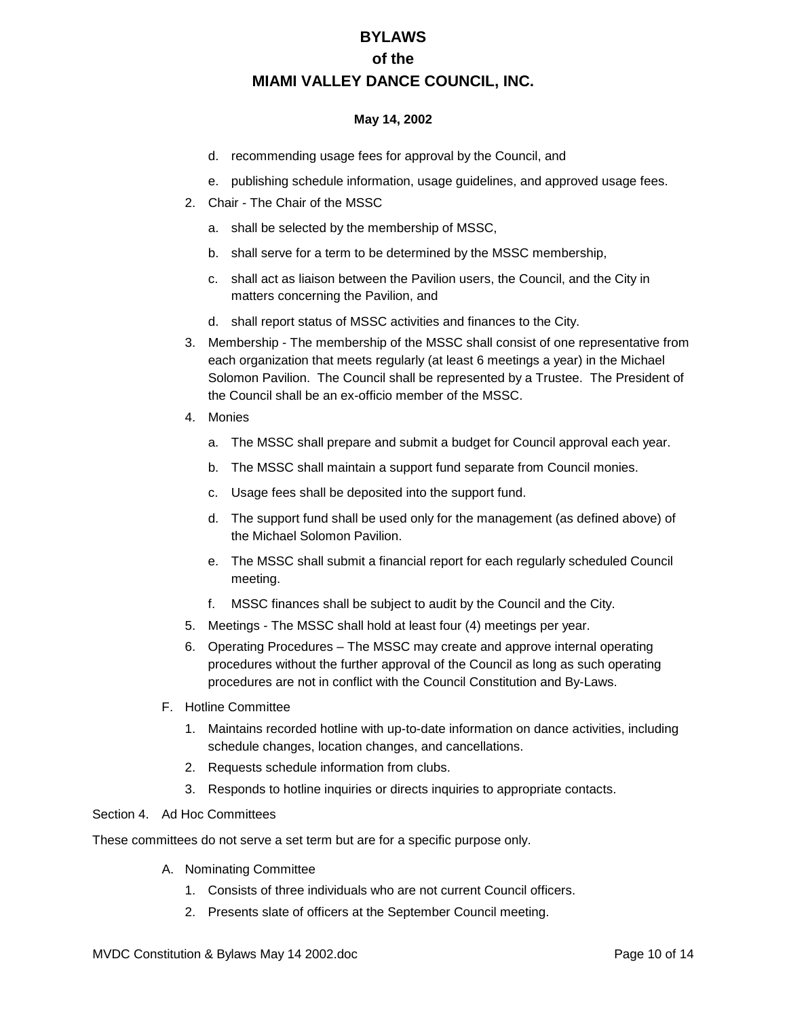### **May 14, 2002**

- d. recommending usage fees for approval by the Council, and
- e. publishing schedule information, usage guidelines, and approved usage fees.
- 2. Chair The Chair of the MSSC
	- a. shall be selected by the membership of MSSC,
	- b. shall serve for a term to be determined by the MSSC membership,
	- c. shall act as liaison between the Pavilion users, the Council, and the City in matters concerning the Pavilion, and
	- d. shall report status of MSSC activities and finances to the City.
- 3. Membership The membership of the MSSC shall consist of one representative from each organization that meets regularly (at least 6 meetings a year) in the Michael Solomon Pavilion. The Council shall be represented by a Trustee. The President of the Council shall be an ex-officio member of the MSSC.
- 4. Monies
	- a. The MSSC shall prepare and submit a budget for Council approval each year.
	- b. The MSSC shall maintain a support fund separate from Council monies.
	- c. Usage fees shall be deposited into the support fund.
	- d. The support fund shall be used only for the management (as defined above) of the Michael Solomon Pavilion.
	- e. The MSSC shall submit a financial report for each regularly scheduled Council meeting.
	- f. MSSC finances shall be subject to audit by the Council and the City.
- 5. Meetings The MSSC shall hold at least four (4) meetings per year.
- 6. Operating Procedures The MSSC may create and approve internal operating procedures without the further approval of the Council as long as such operating procedures are not in conflict with the Council Constitution and By-Laws.
- F. Hotline Committee
	- 1. Maintains recorded hotline with up-to-date information on dance activities, including schedule changes, location changes, and cancellations.
	- 2. Requests schedule information from clubs.
	- 3. Responds to hotline inquiries or directs inquiries to appropriate contacts.

#### Section 4. Ad Hoc Committees

These committees do not serve a set term but are for a specific purpose only.

- A. Nominating Committee
	- 1. Consists of three individuals who are not current Council officers.
	- 2. Presents slate of officers at the September Council meeting.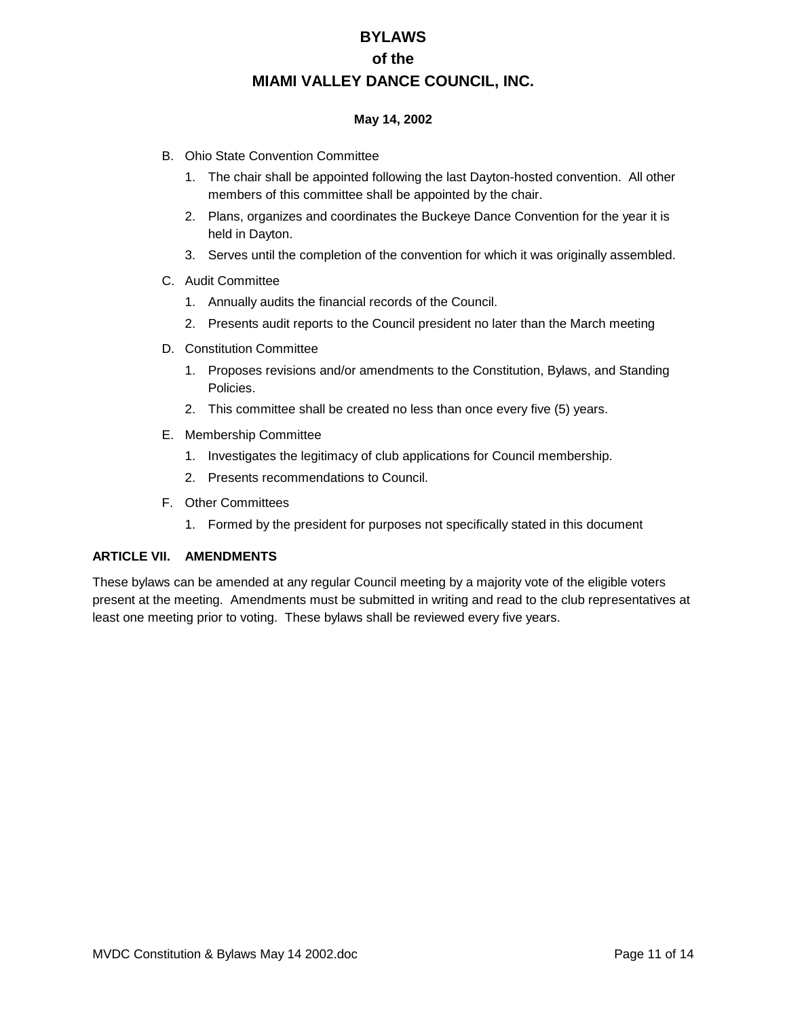### **May 14, 2002**

- B. Ohio State Convention Committee
	- 1. The chair shall be appointed following the last Dayton-hosted convention. All other members of this committee shall be appointed by the chair.
	- 2. Plans, organizes and coordinates the Buckeye Dance Convention for the year it is held in Dayton.
	- 3. Serves until the completion of the convention for which it was originally assembled.
- C. Audit Committee
	- 1. Annually audits the financial records of the Council.
	- 2. Presents audit reports to the Council president no later than the March meeting
- D. Constitution Committee
	- 1. Proposes revisions and/or amendments to the Constitution, Bylaws, and Standing Policies.
	- 2. This committee shall be created no less than once every five (5) years.
- E. Membership Committee
	- 1. Investigates the legitimacy of club applications for Council membership.
	- 2. Presents recommendations to Council.
- F. Other Committees
	- 1. Formed by the president for purposes not specifically stated in this document

#### **ARTICLE VII. AMENDMENTS**

These bylaws can be amended at any regular Council meeting by a majority vote of the eligible voters present at the meeting. Amendments must be submitted in writing and read to the club representatives at least one meeting prior to voting. These bylaws shall be reviewed every five years.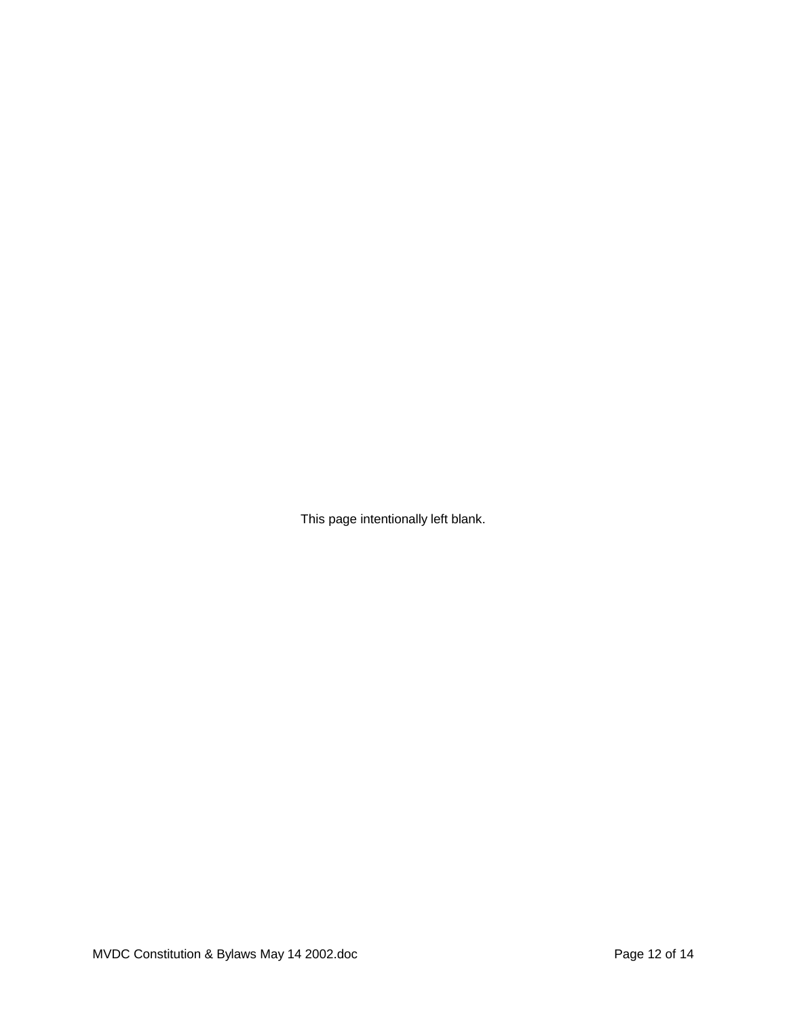This page intentionally left blank.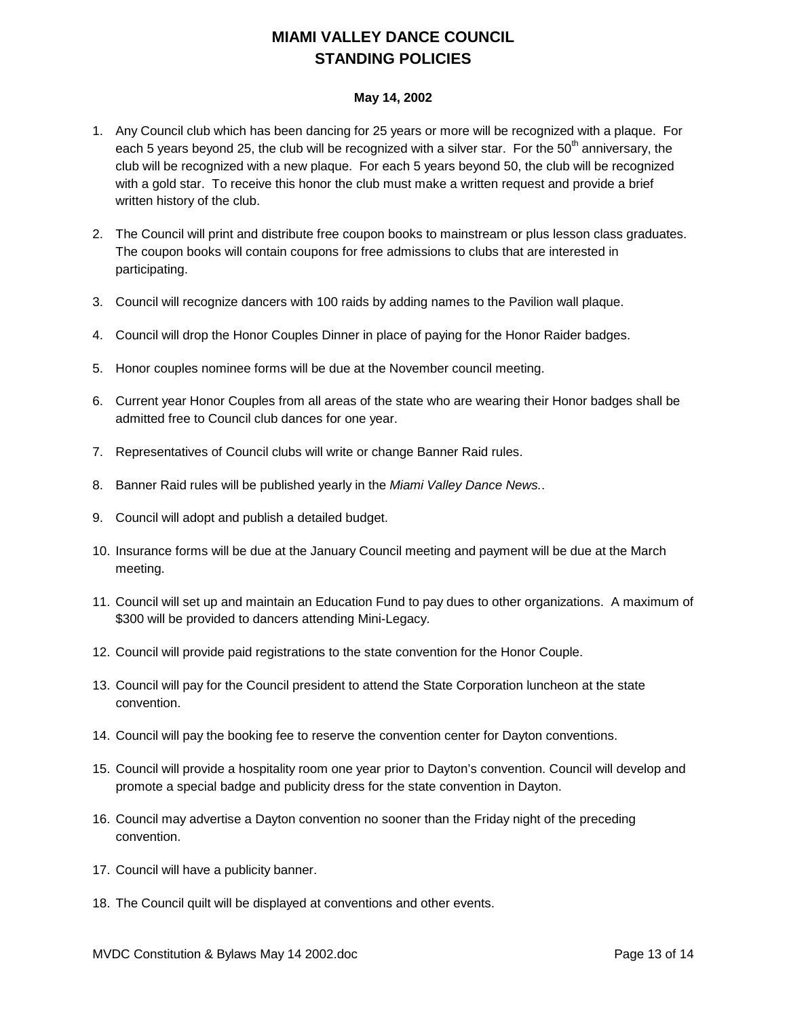# **MIAMI VALLEY DANCE COUNCIL STANDING POLICIES**

### **May 14, 2002**

- 1. Any Council club which has been dancing for 25 years or more will be recognized with a plaque. For each 5 years beyond 25, the club will be recognized with a silver star. For the  $50<sup>th</sup>$  anniversary, the club will be recognized with a new plaque. For each 5 years beyond 50, the club will be recognized with a gold star. To receive this honor the club must make a written request and provide a brief written history of the club.
- 2. The Council will print and distribute free coupon books to mainstream or plus lesson class graduates. The coupon books will contain coupons for free admissions to clubs that are interested in participating.
- 3. Council will recognize dancers with 100 raids by adding names to the Pavilion wall plaque.
- 4. Council will drop the Honor Couples Dinner in place of paying for the Honor Raider badges.
- 5. Honor couples nominee forms will be due at the November council meeting.
- 6. Current year Honor Couples from all areas of the state who are wearing their Honor badges shall be admitted free to Council club dances for one year.
- 7. Representatives of Council clubs will write or change Banner Raid rules.
- 8. Banner Raid rules will be published yearly in the *Miami Valley Dance News.*.
- 9. Council will adopt and publish a detailed budget.
- 10. Insurance forms will be due at the January Council meeting and payment will be due at the March meeting.
- 11. Council will set up and maintain an Education Fund to pay dues to other organizations. A maximum of \$300 will be provided to dancers attending Mini-Legacy.
- 12. Council will provide paid registrations to the state convention for the Honor Couple.
- 13. Council will pay for the Council president to attend the State Corporation luncheon at the state convention.
- 14. Council will pay the booking fee to reserve the convention center for Dayton conventions.
- 15. Council will provide a hospitality room one year prior to Dayton's convention. Council will develop and promote a special badge and publicity dress for the state convention in Dayton.
- 16. Council may advertise a Dayton convention no sooner than the Friday night of the preceding convention.
- 17. Council will have a publicity banner.
- 18. The Council quilt will be displayed at conventions and other events.